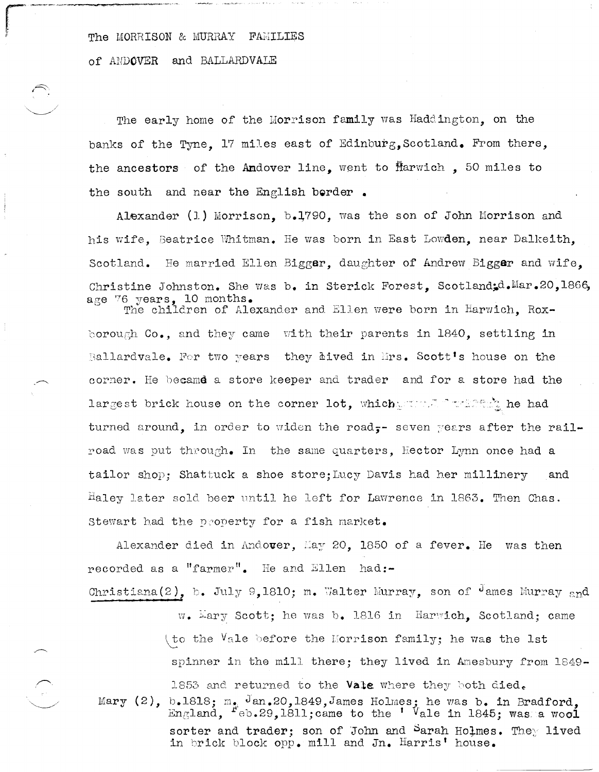The MORRISON & MURRAY FAMILIES

of ANDOVER and BALLARDVALE

 $\sum_{\alpha\in\mathcal{C}}\alpha_{\alpha\beta}^{\alpha\beta}=\sum_{\alpha\in\mathcal{C}}\alpha_{\alpha\beta}^{\alpha\beta}=\sum_{\alpha\in\mathcal{C}}\alpha_{\alpha\beta}^{\alpha\beta}$ 

The early home of the Morrison family was Haddington, on the banks of the Tyne. 17 miles east of Edinburg, Scotland. From there, the ancestors of the Andover line, went to Harwich, 50 miles to the south and near the English berder.

Alexander (1) Morrison, b.1790, was the son of John Morrison and his wife. Beatrice Whitman. He was born in East Lowden, near Dalkeith. Scotland. He married Ellen Biggar, daughter of Andrew Biggar and wife. Christine Johnston. She was b. in Sterick Forest, Scotland;d. Mar. 20, 1866, age 76 years, 10 months.

The children of Alexander and Ellen were born in Harwich. Roxborough Co., and they came with their parents in 1840, settling in Ballardvale. For two years they *aived* in Mrs. Scott's house on the corner. He became a store keeper and trader and for a store had the largest brick house on the corner lot, which sound in this the had turned around, in order to widen the road,- seven years after the railroad was put through. In the same quarters, Hector Lynn once had a tailor shop: Shattuck a shoe store: Lucy Davis had her millinery and Haley later sold beer until he left for Lawrence in 1863. Then Chas. Stewart had the property for a fish market.

Alexander died in Andover, May 20, 1850 of a fever. He was then recorded as a "farmer". He and Ellen had:-

Christiana(2), b. July 9,1810; m. Walter Murray, son of <sup>J</sup>ames Murray and

w. Mary Scott: he was b. 1816 in Harwich. Scotland: came (to the  $\texttt{Vale}$  before the Norrison family; he was the lst spinner in the mill there; they lived in Amesbury from 1849-1853 and returned to the Vale where they both died. Mary  $(2)$ , b.1818; m.  $\frac{1}{2}$  an. 20,1849, James Holmes; he was b. in Bradford. England,  $F_{\theta}$ b.29,1811; came to the ' Vale in 1845; was a wool sorter and trader; son of John and Sarah Holmes. They lived in brick block opp. mill and Jn. Harris' house.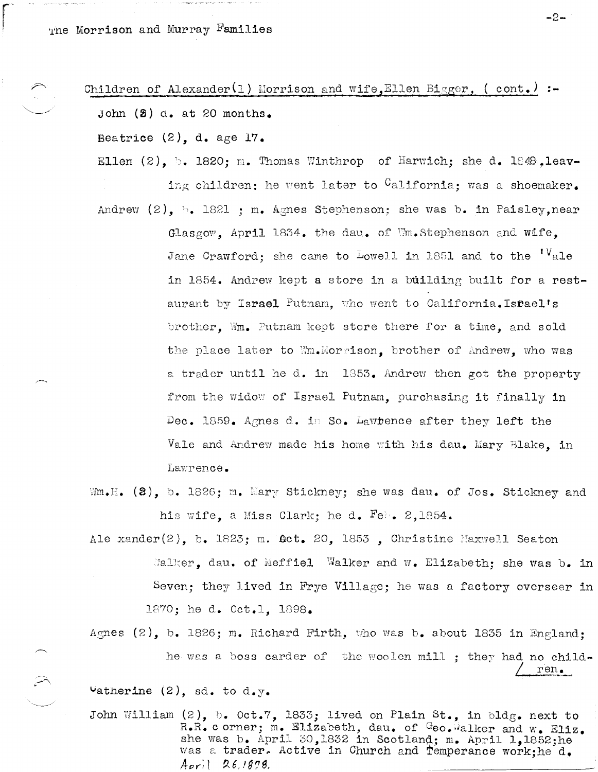The Morrison and Murray Families

## Children of Alexander(1) Morrison and wife, Ellen Bigger, ( cont.) :-

John  $(3)$  d. at 20 months.

Beatrice  $(2)$ , d. age 17.

- Ellen (2), b. 1820; m. Thomas Winthrop of Harwich; she d. 1848. leaving children; he went later to <sup>C</sup>alifornia; was a shoemaker.
- Andrew  $(2)$ ,  $\therefore$  1821 ; m. Agnes Stephenson; she was b. in Paisley, near Glasgow, April 1834. the dau. of Wm. Stephenson and wife, Jane Crawford; she came to Lowell in 1851 and to the  $V$ ale in 1854. Andrew kept a store in a building built for a restaurant by Israel Putnam, who went to California. Isfael's brother, Wm. Putnam kept store there for a time, and sold the place later to Wm.Morrison, brother of Andrew, who was a trader until he d. in 1853. Andrew then got the property from the widow of Israel Putnam, purchasing it finally in Dec. 1859. Agnes d. in So. Lawtence after they left the Vale and Andrew made his home with his dau. Mary Blake, in Lawrence.
- Wm.H. (2), b. 1826; m. Mary Stickney; she was dau. of Jos. Stickney and his wife, a Miss Clark; he d. Fet. 2,1854.
- Ale xander(2), b. 1823; m.  $\texttt{Act. 20, 1855}$ , Christine Maxwell Seaton Malker. dau. of Meffiel Walker and w. Elizabeth; she was b. in Seven; they lived in Frye Village; he was a factory overseer in 1870; he d. Oct.1, 1898.
- Agnes  $(2)$ , b. 1826; m. Richard Firth, who was b. about 1835 in England: he was a boss carder of the woolen mill; they had no child $ren.$

 $\texttt{Vatherine}$  (2), sd. to d.y.

 $\widehat{\phantom{a}}$ 

John William  $(2)$ , b. Oct.7, 1833; lived on Plain St., in bldg. next to R.R. c orner; m. Elizabeth, dau. of Geo. alker and w. Eliz. she was b. April 30,1832 in Scotland; m. April 1,1852; he was a trader. Active in Church and Temperance work: he d. April 26,1878.

 $-2-$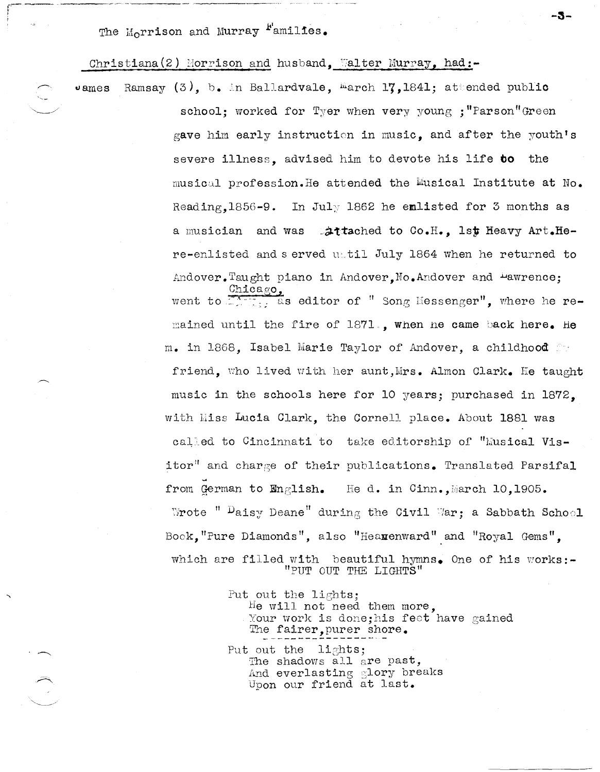The Morrison and Murray <sup>F</sup>amilies.

 $v$  ames

Christiana(2) Morrison and husband, Walter Murray, had:-

Ramsay  $(3)$ , b. in Ballardvale, march 17, 1841; attended public school: worked for Tyer when very young : "Parson"Green gave him early instruction in music, and after the youth's severe illness, advised him to devote his life to the musical profession. He attended the Musical Institute at No. Reading,  $1856 - 9$ . In July 1862 he emlisted for 3 months as a musician and was attached to Co.H., 1st Heavy Art.Here-enlisted and served until July 1864 when he returned to Andover. Taught piano in Andover. No. Andover and Pawrence;

 $\mathtt{Mica}_\mathtt{SO}$ went to  $\mathbb{Z}$ . as editor of " Song Messenger", where he remained until the fire of 1871., when ne came back here. He m. in 1868, Isabel Marie Taylor of Andover, a childhood for friend, who lived with her aunt, Mrs. Almon Clark. He taught music in the schools here for 10 years; purchased in 1872. with Miss Lucia Clark, the Cornell place. About 1881 was called to Cincinnati to take editorship of "Musical Visitor" and charge of their publications. Translated Parsifal from German to English. He d. in Cinn., March 10, 1905. Wrote "  $\mathcal{P}$ aisy Deane" during the Civil War; a Sabbath School Book, "Pure Diamonds", also "Hearenward" and "Royal Gems". which are filled with beautiful hymns. One of his works:-"PUT OUT THE LIGHTS"

-3-

Put out the lights; He will not need them more, Your work is done; his feet have gained The fairer, purer shore. Put out the lights; The shadows all are past, And everlasting glory breaks Upon our friend at last.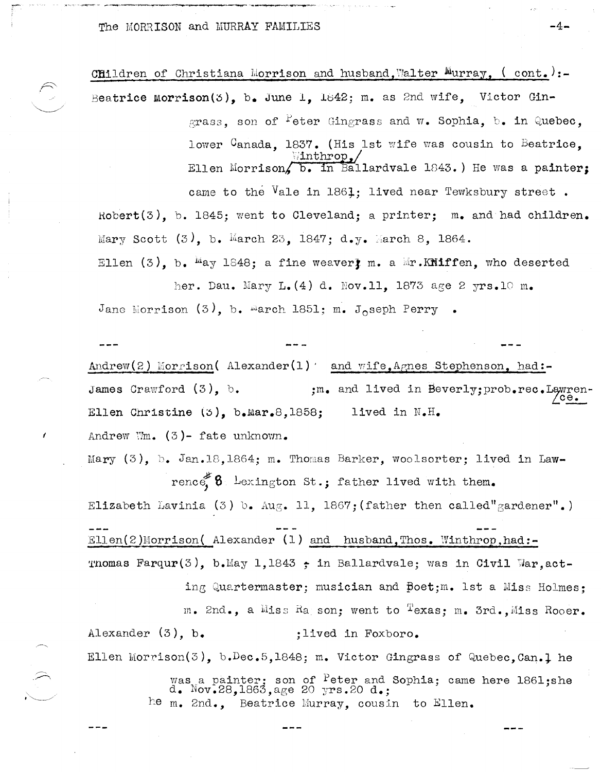The MORRISON and MURRAY FAMILIES

Children of Christiana Morrison and husband. Walter Murray, (cont.) :-Beatrice morrison(3), b. June 1, 1842; m. as 2nd wife, Victor Gin-

> grass, son of <sup>P</sup>eter Gingrass and  $\mathbf{w}_\bullet$  Sophia, b. in Quebec, lower Canada, 1837. (His 1st wife was cousin to Beatrice,  $\{in\$ Ellen Morrison, b. in Ballardvale 1843.) He was a painter; came to the Vale in 1861: lived near Tewksbury street.

Robert(3), b. 1845; went to Cleveland; a printer; m. and had children. Mary Scott  $(3)$ , b. March 23, 1847; d.y. March 8, 1864. Ellen (3), b.  $\mu_{AY}$  1848; a fine weavert m. a  $\mu$ . Kniffen, who deserted her. Dau. Mary L. (4) d. Nov. 11, 1873 age 2 yrs. 10 m.

Jane Morrison (3), b. march 1851; m. Joseph Perry.

Andrew(2) Morrison( Alexander(1) and wife, Agnes Stephenson, had:-James Crawford  $(3)$ , b. ;m. and lived in Beverly; prob.rec.Lawren Ellen Christine (5), b. Mar. 8, 1858; lived in  $N$ . H. Andrew Wm.  $(3)$ - fate unknown.

Mary (3), b. Jan.18,1864; m. Thomas Barker, woolsorter; lived in Lawrence  $\mathbf{8} \cdot \mathbf{b}$  at  $\mathbf{6} \cdot \mathbf{b}$  at  $\mathbf{1} \cdot \mathbf{c}$  at  $\mathbf{a} \cdot \mathbf{c}$  at  $\mathbf{b} \cdot \mathbf{c}$ Elizabeth Lavinia (3) b. Aug. 11, 1867; (father then called"gardener".) Ellen(2)Morrison( Alexander (1) and husband. Thos. Winthrop.had:-Thomas Farqur(3), b.May 1,1843 ; in Ballardvale; was in Civil War, acting Quartermaster; musician and poet; m. 1st a Miss Holmes:

m. 2nd., a Miss Ra son: went to Texas: m. 3rd. Miss Rooer. Alexander  $(3)$ , b. ;lived in Foxboro.

Ellen Morrison(3), b.Dec.5,1848; m. Victor Gingrass of Quebec.Can.1 he was a painter; son of <sup>P</sup>eter and Sophia; came here 1861;she d. Nov.28,1863,age 20 yrs.20 d.; he m. 2nd.. Beatrice Murray, cousin to Ellen.

-4-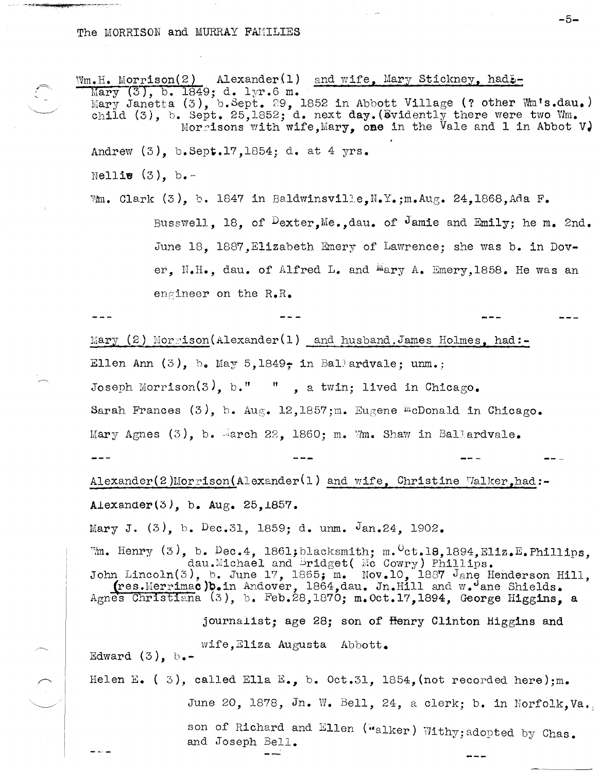The MORRISON and MURRAY FAMILIES

 $Wm$ . H. Morrison(2) Alexander(1) and wife, Mary Stickney, had  $L$ -Mary (3), b. 1849; d. 1yr.6 m. Mary Janetta (3), b. Sept. 29, 1852 in Abbott Village (? other Wm's.dau.) child  $(3)$ , b. Sept. 25,1852; d. next day. (Byidently there were two Wm. Morrisons with wife, Mary, one in the Vale and 1 in Abbot V. Andrew  $(3)$ , b.Sept.17, 1854; d. at 4 yrs. Nellie  $(3)$ , b.-Wm. Clark (3), b. 1847 in Baldwinsville, N.Y.; m.Aug. 24, 1868, Ada F. Busswell, 18, of  $D_{\text{exter}}$ , Me., dau. of Jamie and Emily; he m. 2nd. June 18, 1887, Elizabeth Emery of Lawrence; she was b. in Dover. N.H., dau. of Alfred L. and Mary A. Emery, 1858. He was an engineer on the  $R_{\bullet}R_{\bullet}$ Mary  $(2)$  Morrison(Alexander(1) and husband, James Holmes, had:-Ellen Ann  $(3)$ , b. May 5,1849; in Ballardvale; unm.; Joseph Morrison(3), b." ", a twin; lived in Chicago. Sarah Frances  $(3)$ , b. Aug. 12,1857;m. Eugene <sup>m</sup>cDonald in Chicago. Mary Agnes  $(3)$ , b. March 22, 1860; m. Wm. Shaw in Ballardvale.

-5-

 $\texttt{Alexander(2)Morrison(Alexander(1) and wife, Christine Walker, had:--}$ Alexander(3), b.  $Aug. 25,1857.$ 

Mary J.  $(3)$ , b. Dec.31, 1859; d. unm. Jan.24, 1902.  $\mathbb{M}$ . Henry (3), b. Dec.4, 1861; blacksmith; m.  $\text{C}t$ .18, 1894, Eliz.E. Phillips, John Lincoln(3), b. June 17, 1865; m. Nov.10, 1887 Jane Henderson Hill,<br>Agnes Christiana (3), b. Feb.28, 1870; m. Oct.17, 1894, George Higgins, a journalist; age 28; son of Henry Clinton Higgins and

wife, Eliza Augusta Abbott. Edward  $(3)$ ,  $b -$ Helen E. (3), called Ella E., b. Oct.31, 1854, (not recorded here): m. June 20, 1878, Jn. W. Bell, 24, a clerk; b. in Norfolk, Va. son of Richard and Ellen ("alker) Withy; adopted by Chas. and Joseph Bell.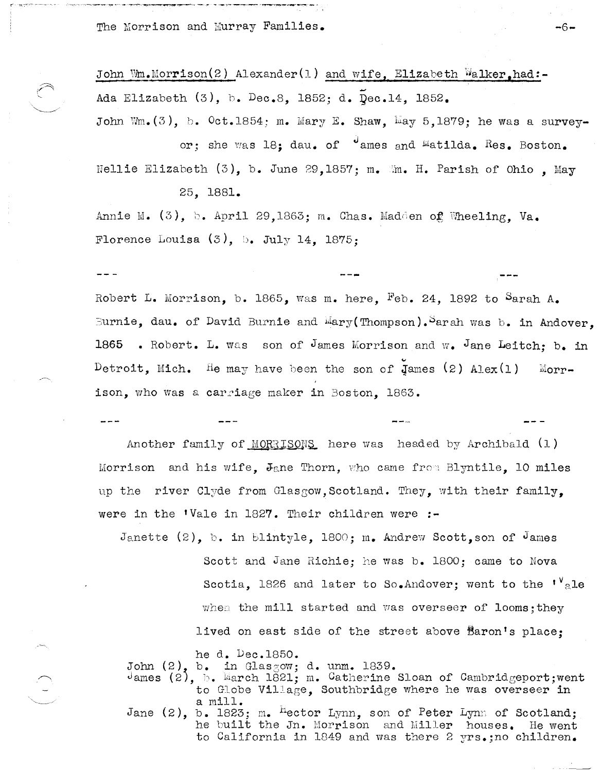The Morrison and Murray Families.

 $---$ 

John Wm.Morrison(2) Alexander(1) and wife. Elizabeth Walker.had:-Ada Elizabeth (3), b. Dec.8, 1852; d. Dec.14, 1852. John Wm.  $(3)$ , b.  $0ct.1854$ : m. Mary E. Shaw, May 5,1879; he was a survey-

or; she was 18; dau. of cames and matilda. Res. Boston. Nellie Elizabeth  $(3)$ , b. June 29,1857; m. M. H. Parish of Ohio. May 25, 1881.

Annie M.  $(3)$ , b. April 29,1863; m. Chas. Madden of Wheeling. Va. Florence Louisa  $(3)$ , b. July 14, 1875:

Robert L. Morrison, b. 1865, was m. here, Feb. 24, 1892 to Sarah A. Burnie, dau. of David Burnie and Mary (Thompson). Sarah was b. in Andover. 1865 . Robert. L. was son of James Morrison and w. Jane Leitch: b. in Detroit, Mich. He may have been the son of James  $(2)$  Alex $(1)$ Morrison, who was a carriage maker in Boston. 1863.

Another family of MORRISONS here was headed by Archibald (1) Morrison and his wife, Jane Thorn, who came from Blyntile, 10 miles up the river Clyde from Glasgow, Scotland. They, with their family. were in the 'Vale in 1827. Their children were :-

Janette  $(2)$ , b. in Blintyle, 1800; m. Andrew Scott, son of James Scott and Jane Richie; he was b. 1800; came to Nova Scotia, 1826 and later to So. Andover; went to the ''ale when the mill started and was overseer of looms; they lived on east side of the street above Baron's place:

he d. Dec.1850.

John  $(2)$ , b. in Glasgow; d. unm. 1839.

James (2),  $\mathbb{N}$ . March 1821; m. Catherine Sloan of Cambridgeport; went to Globe Village, Southbridge where he was overseer in a mill.

Jane  $(2)$ , b. 1823; m. <sup>H</sup>ector Lynn, son of Peter Lynn of Scotland; he built the Jn. Morrison and Miller houses. He went to California in 1849 and was there 2 yrs.;no children.

-6⊷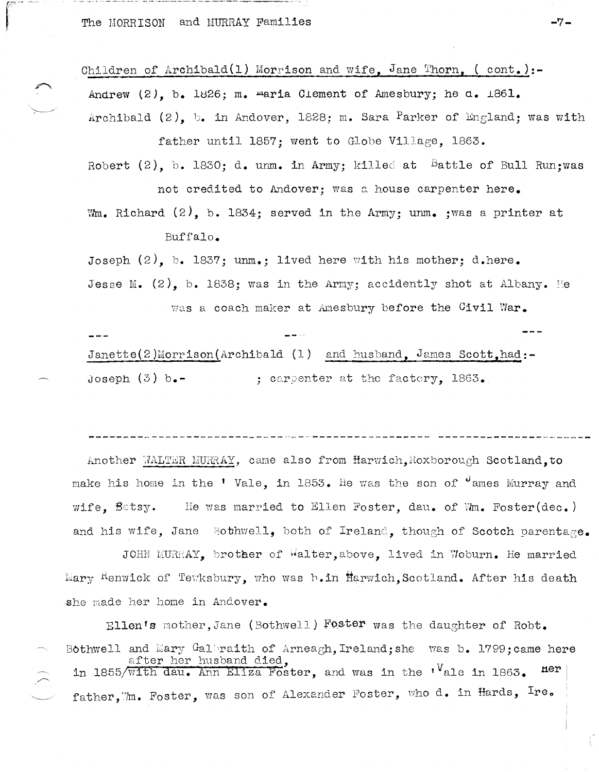The MORRISON and MURRAY Families

Children of Archibald(1) Morrison and wife. Jane Thorn. (cont.):-Andrew (2), b. 1826: m. maria Clement of Amesbury: he a. 1861. Archibald (2), b. in Andover, 1828; m. Sara Parker of England; was with father until 1857; went to Globe Village, 1863.

Robert (2). b. 1830: d. unm. in Army; killed at Battle of Bull Run:was not credited to Andover; was a house carpenter here.

Wm. Richard (2). b. 1834: served in the Army: unm. : was a printer at Buffalo.

Joseph  $(2)$ . b. 1837; unm.; lived here with his mother; d.here. Jesse M. (2). b. 1838; was in the Army; accidently shot at Albany. He

was a coach maker at Amesbury before the Civil War.

 $Janette(2)Morrison(Archibald (1) and husband, James Scott, had:–$ Joseph  $(3)$  b.-: carpenter at the factory. 1863.

Another WALTER MURRAY, came also from Harwich, Roxborough Scotland.to make his home in the 'Vale, in 1853. He was the son of "ames Murray and wife, Betsy. He was married to Ellen Foster, dau. of Wm. Foster(dec.) and his wife, Jane Bothwell, both of Ireland, though of Scotch parentage.

JOHN MURRAY, brother of Walter, above, lived in Woburn. He married Mary Renwick of Tewksbury, who was b.in Harwich, Scotland. After his death she made her home in Andover.

Ellen's mother, Jane (Bothwell) Foster was the daughter of Robt. Bothwell and Mary Galbraith of Arneagh, Ireland; she was b. 1799; came here after her husband died,<br>in 1855/with dau. Ann Eliza Foster, and was in the '<sup>V</sup>ale in 1863. ner father, m. Foster, was son of Alexander Foster, who d. in Hards, Ire.

-7.